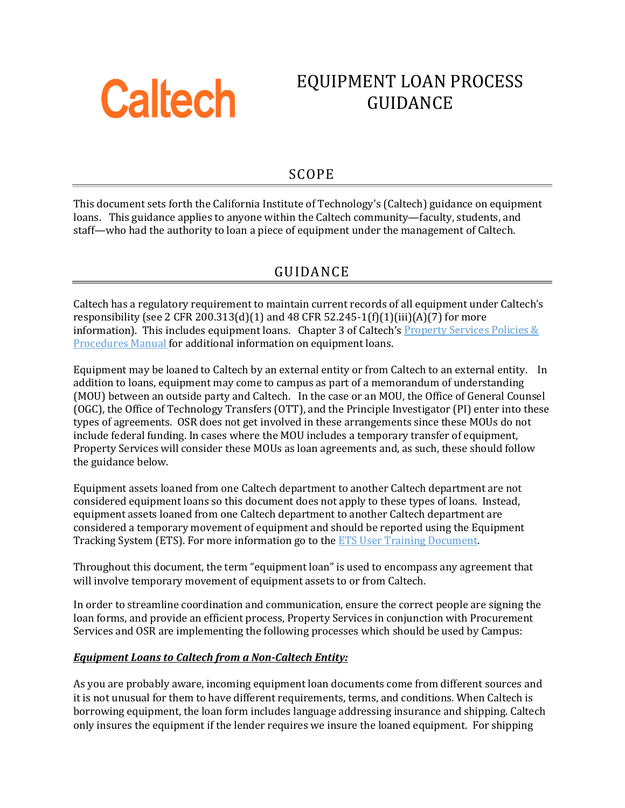

# EQUIPMENT LOAN PROCESS GUIDANCE

### SCOPE

This document sets forth the California Institute of Technology's (Caltech) guidance on equipment loans. This guidance applies to anyone within the Caltech community—faculty, students, and staff—who had the authority to loan a piece of equipment under the management of Caltech.

### GUIDANCE

Caltech has a regulatory requirement to maintain current records of all equipment under Caltech's responsibility (see 2 CFR 200.313(d)(1) and 48 CFR 52.245-1(f)(1)(iii)(A)(7) for more information). This includes equipment loans. Chapter 3 of Caltech's Property Services Policies  $\&$ [Procedures Manual](https://finance.caltech.edu/documents/15144/property_policy_manual-rewrite_-2017.pdf) for additional information on equipment loans.

Equipment may be loaned to Caltech by an external entity or from Caltech to an external entity. In addition to loans, equipment may come to campus as part of a memorandum of understanding (MOU) between an outside party and Caltech. In the case or an MOU, the Office of General Counsel (OGC), the Office of Technology Transfers (OTT), and the Principle Investigator (PI) enter into these types of agreements. OSR does not get involved in these arrangements since these MOUs do not include federal funding. In cases where the MOU includes a temporary transfer of equipment, Property Services will consider these MOUs as loan agreements and, as such, these should follow the guidance below.

Equipment assets loaned from one Caltech department to another Caltech department are not considered equipment loans so this document does not apply to these types of loans. Instead, equipment assets loaned from one Caltech department to another Caltech department are considered a temporary movement of equipment and should be reported using the Equipment Tracking System (ETS). For more information go to the [ETS User Training Document.](https://finance.caltech.edu/documents/15170/ets_user_training_final_2_21_2019.pdf)

Throughout this document, the term "equipment loan" is used to encompass any agreement that will involve temporary movement of equipment assets to or from Caltech.

In order to streamline coordination and communication, ensure the correct people are signing the loan forms, and provide an efficient process, Property Services in conjunction with Procurement Services and OSR are implementing the following processes which should be used by Campus:

#### *Equipment Loans to Caltech from a Non-Caltech Entity:*

As you are probably aware, incoming equipment loan documents come from different sources and it is not unusual for them to have different requirements, terms, and conditions. When Caltech is borrowing equipment, the loan form includes language addressing insurance and shipping. Caltech only insures the equipment if the lender requires we insure the loaned equipment. For shipping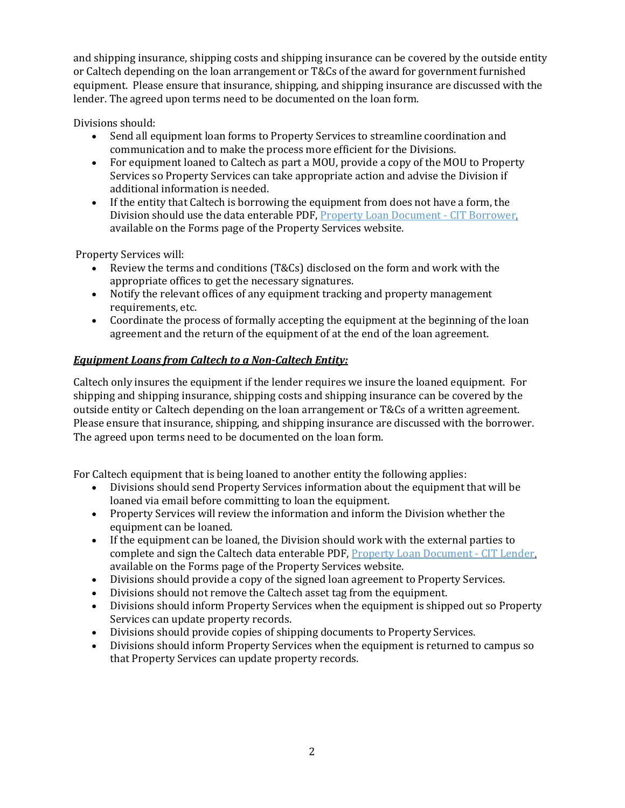and shipping insurance, shipping costs and shipping insurance can be covered by the outside entity or Caltech depending on the loan arrangement or T&Cs of the award for government furnished equipment. Please ensure that insurance, shipping, and shipping insurance are discussed with the lender. The agreed upon terms need to be documented on the loan form.

Divisions should:

- Send all equipment loan forms to Property Services to streamline coordination and communication and to make the process more efficient for the Divisions.
- For equipment loaned to Caltech as part a MOU, provide a copy of the MOU to Property Services so Property Services can take appropriate action and advise the Division if additional information is needed.
- If the entity that Caltech is borrowing the equipment from does not have a form, the Division should use the data enterable PDF, [Property Loan Document -](https://finance.caltech.edu/documents/15093/property_loan_document_-_cit_borrower_data_enterable.pdf) CIT Borrower, available on the Forms page of the Property Services website.

Property Services will:

- Review the terms and conditions (T&Cs) disclosed on the form and work with the appropriate offices to get the necessary signatures.
- Notify the relevant offices of any equipment tracking and property management requirements, etc.
- Coordinate the process of formally accepting the equipment at the beginning of the loan agreement and the return of the equipment of at the end of the loan agreement.

#### *Equipment Loans from Caltech to a Non-Caltech Entity:*

Caltech only insures the equipment if the lender requires we insure the loaned equipment. For shipping and shipping insurance, shipping costs and shipping insurance can be covered by the outside entity or Caltech depending on the loan arrangement or T&Cs of a written agreement. Please ensure that insurance, shipping, and shipping insurance are discussed with the borrower. The agreed upon terms need to be documented on the loan form.

For Caltech equipment that is being loaned to another entity the following applies:

- Divisions should send Property Services information about the equipment that will be loaned via email before committing to loan the equipment.
- Property Services will review the information and inform the Division whether the equipment can be loaned.
- If the equipment can be loaned, the Division should work with the external parties to complete and sign the Caltech data enterable PDF[, Property Loan Document -](https://finance.caltech.edu/documents/15094/property_loan_document_-_cit_lender_data_enterable.pdf) CIT Lender, available on the Forms page of the Property Services website.
- Divisions should provide a copy of the signed loan agreement to Property Services.
- Divisions should not remove the Caltech asset tag from the equipment.
- Divisions should inform Property Services when the equipment is shipped out so Property Services can update property records.
- Divisions should provide copies of shipping documents to Property Services.
- Divisions should inform Property Services when the equipment is returned to campus so that Property Services can update property records.